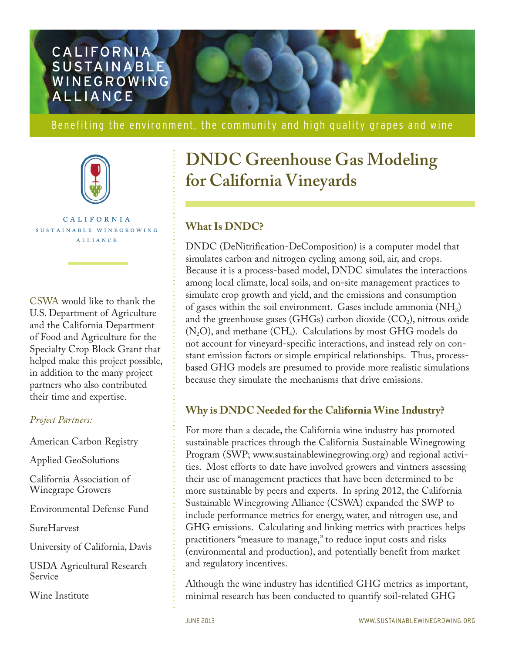

Benefiting the environment, the community and high quality grapes and wine



california sustainable winegrowing alliance

CSWA would like to thank the U.S. Department of Agriculture and the California Department of Food and Agriculture for the Specialty Crop Block Grant that helped make this project possible, in addition to the many project partners who also contributed their time and expertise.

#### *Project Partners:*

American Carbon Registry

Applied GeoSolutions

California Association of Winegrape Growers

Environmental Defense Fund

SureHarvest

University of California, Davis

USDA Agricultural Research Service

Wine Institute

# **DNDC Greenhouse Gas Modeling for California Vineyards**

# **What Is DNDC?**

DNDC (DeNitrification-DeComposition) is a computer model that simulates carbon and nitrogen cycling among soil, air, and crops. Because it is a process-based model, DNDC simulates the interactions among local climate, local soils, and on-site management practices to simulate crop growth and yield, and the emissions and consumption of gases within the soil environment. Gases include ammonia  $(NH_3)$ and the greenhouse gases (GHGs) carbon dioxide  $(CO<sub>2</sub>)$ , nitrous oxide  $(N_2O)$ , and methane  $(CH_4)$ . Calculations by most GHG models do not account for vineyard-specific interactions, and instead rely on constant emission factors or simple empirical relationships. Thus, processbased GHG models are presumed to provide more realistic simulations because they simulate the mechanisms that drive emissions.

## **Why is DNDC Needed for the California Wine Industry?**

For more than a decade, the California wine industry has promoted sustainable practices through the California Sustainable Winegrowing Program (SWP; www.sustainablewinegrowing.org) and regional activities. Most efforts to date have involved growers and vintners assessing their use of management practices that have been determined to be more sustainable by peers and experts. In spring 2012, the California Sustainable Winegrowing Alliance (CSWA) expanded the SWP to include performance metrics for energy, water, and nitrogen use, and GHG emissions. Calculating and linking metrics with practices helps practitioners "measure to manage," to reduce input costs and risks (environmental and production), and potentially benefit from market and regulatory incentives.

Although the wine industry has identified GHG metrics as important, minimal research has been conducted to quantify soil-related GHG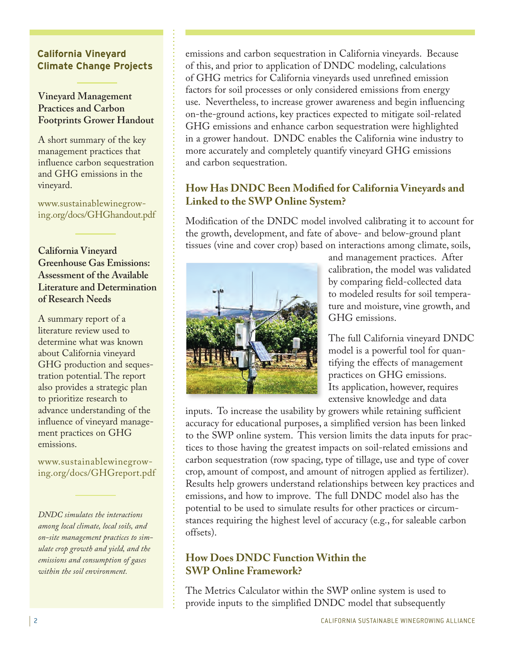#### **California Vineyard Climate Change Projects**

## **Vineyard Management Practices and Carbon Footprints Grower Handout**

A short summary of the key management practices that influence carbon sequestration and GHG emissions in the vineyard.

[www.sustainablewinegrow](http://www.sustainablewinegrowing.org/docs/GHGhandout.pdf)ing.org/docs/GHGhandout.pdf

**California Vineyard Greenhouse Gas Emissions: Assessment of the Available Literature and Determination of Research Needs**

A summary report of a literature review used to determine what was known about California vineyard GHG production and sequestration potential. The report also provides a strategic plan to prioritize research to advance understanding of the influence of vineyard management practices on GHG emissions.

[www.sustainablewinegrow](http://www.sustainablewinegrowing.org/docs/GHGreport.pdf)ing.org/docs/GHGreport.pdf

*DNDC simulates the interactions among local climate, local soils, and on-site management practices to simulate crop growth and yield, and the emissions and consumption of gases within the soil environment.*

emissions and carbon sequestration in California vineyards. Because of this, and prior to application of DNDC modeling, calculations of GHG metrics for California vineyards used unrefined emission factors for soil processes or only considered emissions from energy use. Nevertheless, to increase grower awareness and begin influencing on-the-ground actions, key practices expected to mitigate soil-related GHG emissions and enhance carbon sequestration were highlighted in a grower handout. DNDC enables the California wine industry to more accurately and completely quantify vineyard GHG emissions and carbon sequestration.

# **How Has DNDC Been Modified for California Vineyards and Linked to the SWP Online System?**

Modification of the DNDC model involved calibrating it to account for the growth, development, and fate of above- and below-ground plant tissues (vine and cover crop) based on interactions among climate, soils,



and management practices. After calibration, the model was validated by comparing field-collected data to modeled results for soil temperature and moisture, vine growth, and GHG emissions.

The full California vineyard DNDC model is a powerful tool for quantifying the effects of management practices on GHG emissions. Its application, however, requires extensive knowledge and data

inputs. To increase the usability by growers while retaining sufficient accuracy for educational purposes, a simplified version has been linked to the SWP online system. This version limits the data inputs for practices to those having the greatest impacts on soil-related emissions and carbon sequestration (row spacing, type of tillage, use and type of cover crop, amount of compost, and amount of nitrogen applied as fertilizer). Results help growers understand relationships between key practices and emissions, and how to improve. The full DNDC model also has the potential to be used to simulate results for other practices or circumstances requiring the highest level of accuracy (e.g., for saleable carbon offsets).

# **How Does DNDC Function Within the SWP Online Framework?**

The Metrics Calculator within the SWP online system is used to provide inputs to the simplified DNDC model that subsequently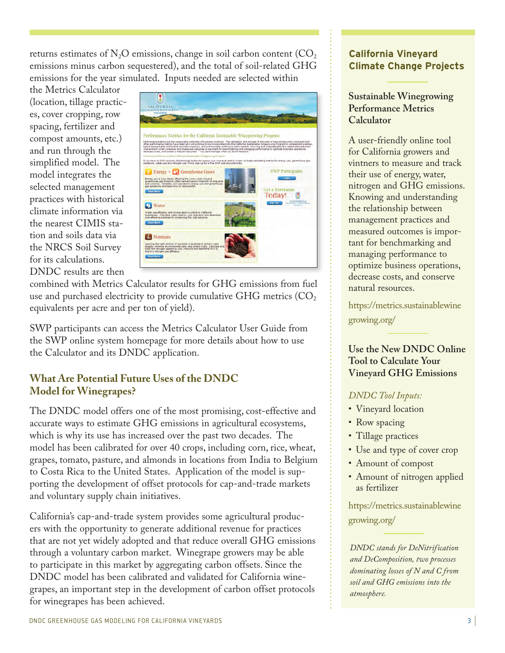returns estimates of  $N_2O$  emissions, change in soil carbon content ( $CO_2$ ) emissions minus carbon sequestered), and the total of soil-related GHG emissions for the year simulated. Inputs needed are selected within

the Metrics Calculator (location, tillage practices, cover cropping, row spacing, fertilizer and compost amounts, etc.) and run through the simplified model. The model integrates the selected management practices with historical climate information via the nearest CIMIS station and soils data via the NRCS Soil Survey for its calculations. DNDC results are then



combined with Metrics Calculator results for GHG emissions from fuel use and purchased electricity to provide cumulative GHG metrics  $(CO<sub>2</sub>)$ equivalents per acre and per ton of yield).

SWP participants can access the Metrics Calculator User Guide from the SWP online system homepage for more details about how to use the Calculator and its DNDC application.

## **What Are Potential Future Uses of the DNDC Model for Winegrapes?**

The DNDC model offers one of the most promising, cost-effective and accurate ways to estimate GHG emissions in agricultural ecosystems, which is why its use has increased over the past two decades. The model has been calibrated for over 40 crops, including corn, rice, wheat, grapes, tomato, pasture, and almonds in locations from India to Belgium to Costa Rica to the United States. Application of the model is supporting the development of offset protocols for cap-and-trade markets and voluntary supply chain initiatives.

California's cap-and-trade system provides some agricultural producers with the opportunity to generate additional revenue for practices that are not yet widely adopted and that reduce overall GHG emissions through a voluntary carbon market. Winegrape growers may be able to participate in this market by aggregating carbon offsets. Since the DNDC model has been calibrated and validated for California winegrapes, an important step in the development of carbon offset protocols for winegrapes has been achieved.

#### **California Vineyard Climate Change Projects**

## **Sustainable Winegrowing Performance Metrics Calculator**

A user-friendly online tool for California growers and vintners to measure and track their use of energy, water, nitrogen and GHG emissions. Knowing and understanding the relationship between management practices and measured outcomes is important for benchmarking and managing performance to optimize business operations, decrease costs, and conserve natural resources.

[https://metrics.sustainablewine](https://metrics.sustainablewinegrowing.org) growing.org/

## **Use the New DNDC Online Tool to Calculate Your Vineyard GHG Emissions**

#### *DNDC Tool Inputs:*

- Vineyard location
- Row spacing
- Tillage practices
- Use and type of cover crop
- Amount of compost
- Amount of nitrogen applied as fertilizer

[https://metrics.sustainablewine](https://metrics.sustainablewinegrowing.org) growing.org/

*DNDC stands for DeNitrification and DeComposition, two processes dominating losses of N and C from soil and GHG emissions into the atmosphere.*